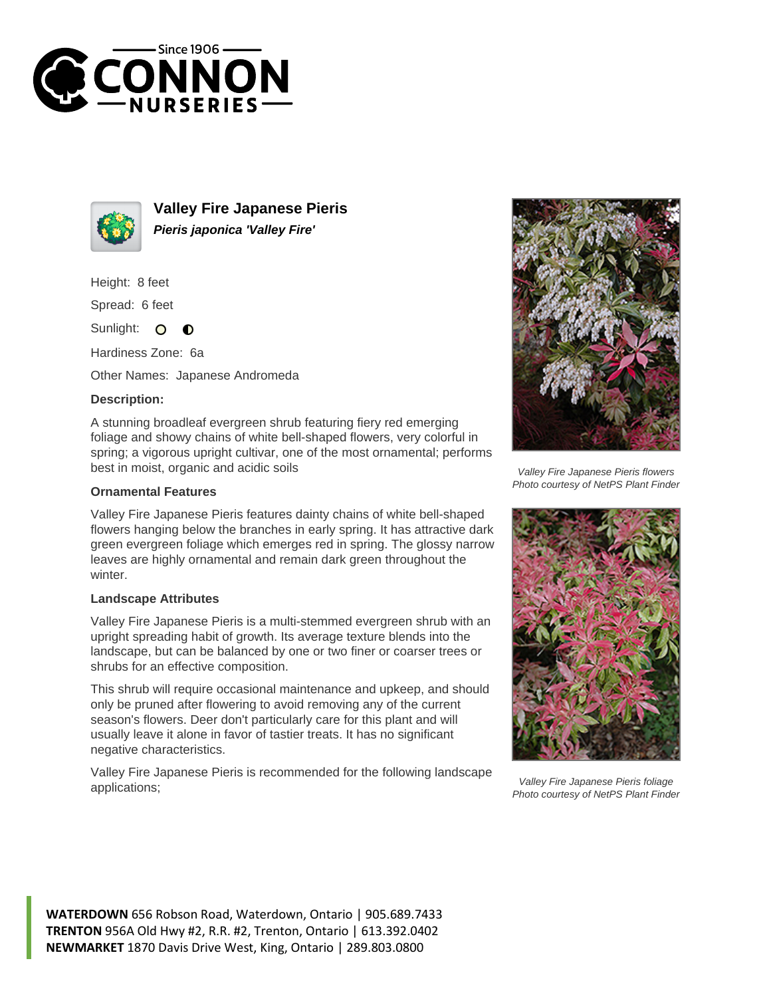



**Valley Fire Japanese Pieris Pieris japonica 'Valley Fire'**

Height: 8 feet

Spread: 6 feet

Sunlight:  $\circ$  $\bullet$ 

Hardiness Zone: 6a

Other Names: Japanese Andromeda

## **Description:**

A stunning broadleaf evergreen shrub featuring fiery red emerging foliage and showy chains of white bell-shaped flowers, very colorful in spring; a vigorous upright cultivar, one of the most ornamental; performs best in moist, organic and acidic soils

## **Ornamental Features**

Valley Fire Japanese Pieris features dainty chains of white bell-shaped flowers hanging below the branches in early spring. It has attractive dark green evergreen foliage which emerges red in spring. The glossy narrow leaves are highly ornamental and remain dark green throughout the winter.

## **Landscape Attributes**

Valley Fire Japanese Pieris is a multi-stemmed evergreen shrub with an upright spreading habit of growth. Its average texture blends into the landscape, but can be balanced by one or two finer or coarser trees or shrubs for an effective composition.

This shrub will require occasional maintenance and upkeep, and should only be pruned after flowering to avoid removing any of the current season's flowers. Deer don't particularly care for this plant and will usually leave it alone in favor of tastier treats. It has no significant negative characteristics.

Valley Fire Japanese Pieris is recommended for the following landscape applications;



Valley Fire Japanese Pieris flowers Photo courtesy of NetPS Plant Finder



Valley Fire Japanese Pieris foliage Photo courtesy of NetPS Plant Finder

**WATERDOWN** 656 Robson Road, Waterdown, Ontario | 905.689.7433 **TRENTON** 956A Old Hwy #2, R.R. #2, Trenton, Ontario | 613.392.0402 **NEWMARKET** 1870 Davis Drive West, King, Ontario | 289.803.0800